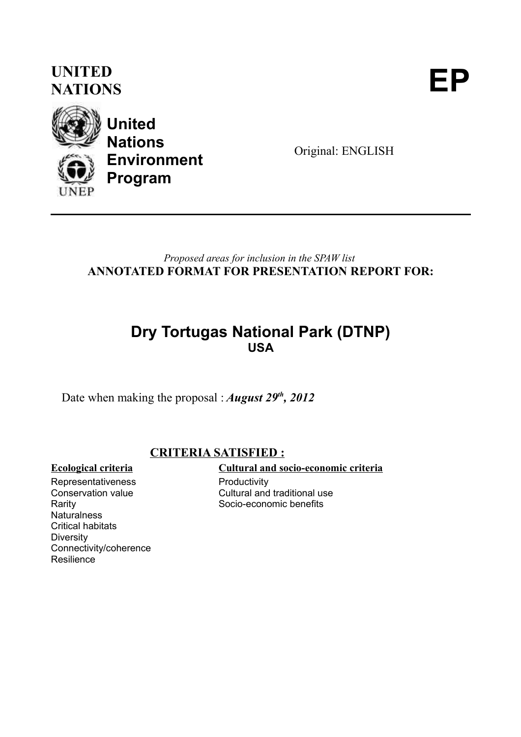## **UNITED** UNITED<br>NATIONS



**United Nations Environment Program**

Original: ENGLISH

*Proposed areas for inclusion in the SPAW list* **ANNOTATED FORMAT FOR PRESENTATION REPORT FOR:**

### **Dry Tortugas National Park (DTNP) USA**

Date when making the proposal : *August 29th, 2012*

### **CRITERIA SATISFIED :**

Representativeness Conservation value Rarity **Naturalness** Critical habitats Diversity Connectivity/coherence **Resilience** 

#### **Ecological criteria Cultural and socio-economic criteria**

**Productivity** Cultural and traditional use Socio-economic benefits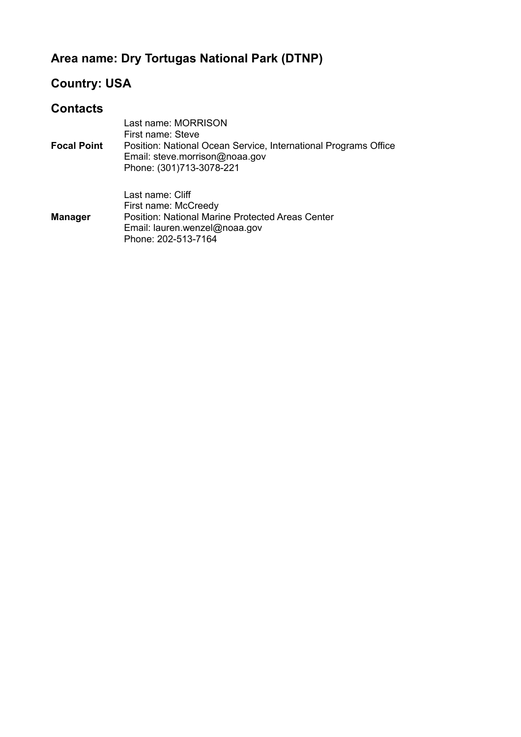## **Area name: Dry Tortugas National Park (DTNP)**

### **Country: USA**

### **Contacts**

| <b>Focal Point</b> | Last name: MORRISON<br>First name: Steve<br>Position: National Ocean Service, International Programs Office<br>Email: steve.morrison@noaa.gov<br>Phone: (301)713-3078-221 |
|--------------------|---------------------------------------------------------------------------------------------------------------------------------------------------------------------------|
| <b>Manager</b>     | Last name: Cliff<br>First name: McCreedy<br><b>Position: National Marine Protected Areas Center</b><br>Email: lauren.wenzel@noaa.gov<br>Phone: 202-513-7164               |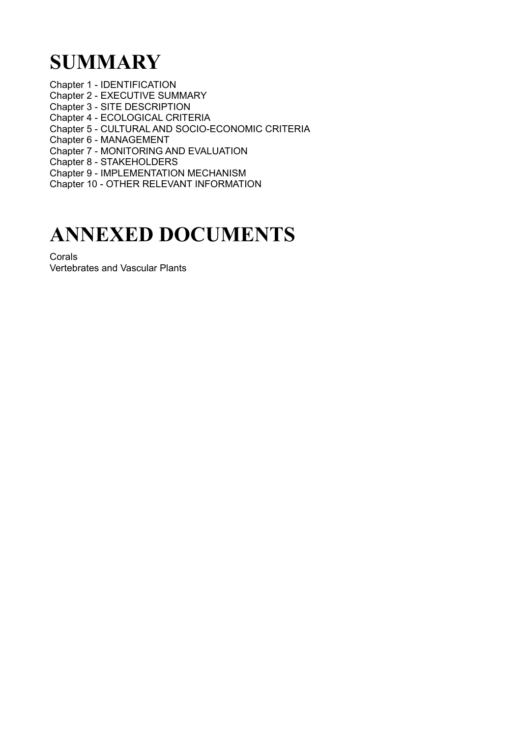## **SUMMARY**

Chapter 1 - IDENTIFICATION

- Chapter 2 EXECUTIVE SUMMARY
- Chapter 3 SITE DESCRIPTION
- Chapter 4 ECOLOGICAL CRITERIA
- Chapter 5 CULTURAL AND SOCIO-ECONOMIC CRITERIA
- Chapter 6 MANAGEMENT
- Chapter 7 MONITORING AND EVALUATION
- Chapter 8 STAKEHOLDERS
- Chapter 9 IMPLEMENTATION MECHANISM
- Chapter 10 OTHER RELEVANT INFORMATION

## **ANNEXED DOCUMENTS**

Corals Vertebrates and Vascular Plants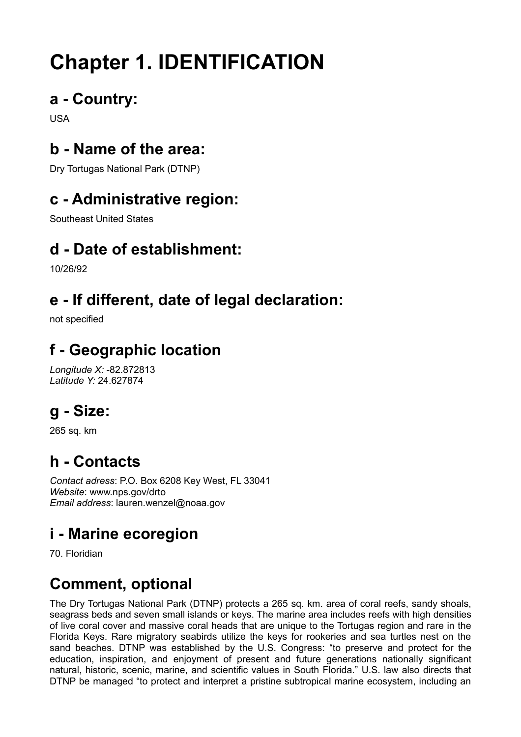# **Chapter 1. IDENTIFICATION**

## **a - Country:**

USA

## **b - Name of the area:**

Dry Tortugas National Park (DTNP)

## **c - Administrative region:**

Southeast United States

## **d - Date of establishment:**

10/26/92

## **e - If different, date of legal declaration:**

not specified

## **f - Geographic location**

*Longitude X:* -82.872813 *Latitude Y:* 24.627874

## **g - Size:**

265 sq. km

## **h - Contacts**

*Contact adress*: P.O. Box 6208 Key West, FL 33041 *Website*: www.nps.gov/drto *Email address*: lauren.wenzel@noaa.gov

## **i - Marine ecoregion**

70. Floridian

## **Comment, optional**

The Dry Tortugas National Park (DTNP) protects a 265 sq. km. area of coral reefs, sandy shoals, seagrass beds and seven small islands or keys. The marine area includes reefs with high densities of live coral cover and massive coral heads that are unique to the Tortugas region and rare in the Florida Keys. Rare migratory seabirds utilize the keys for rookeries and sea turtles nest on the sand beaches. DTNP was established by the U.S. Congress: "to preserve and protect for the education, inspiration, and enjoyment of present and future generations nationally significant natural, historic, scenic, marine, and scientific values in South Florida." U.S. law also directs that DTNP be managed "to protect and interpret a pristine subtropical marine ecosystem, including an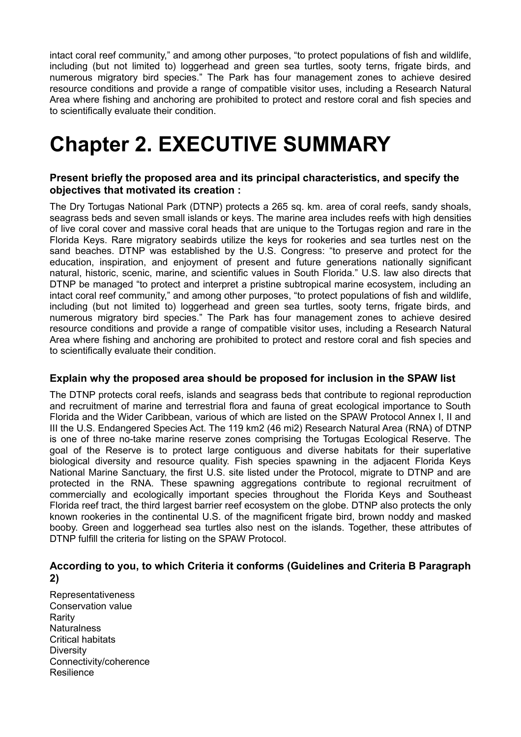intact coral reef community," and among other purposes, "to protect populations of fish and wildlife, including (but not limited to) loggerhead and green sea turtles, sooty terns, frigate birds, and numerous migratory bird species." The Park has four management zones to achieve desired resource conditions and provide a range of compatible visitor uses, including a Research Natural Area where fishing and anchoring are prohibited to protect and restore coral and fish species and to scientifically evaluate their condition.

## **Chapter 2. EXECUTIVE SUMMARY**

#### **Present briefly the proposed area and its principal characteristics, and specify the objectives that motivated its creation :**

The Dry Tortugas National Park (DTNP) protects a 265 sq. km. area of coral reefs, sandy shoals, seagrass beds and seven small islands or keys. The marine area includes reefs with high densities of live coral cover and massive coral heads that are unique to the Tortugas region and rare in the Florida Keys. Rare migratory seabirds utilize the keys for rookeries and sea turtles nest on the sand beaches. DTNP was established by the U.S. Congress: "to preserve and protect for the education, inspiration, and enjoyment of present and future generations nationally significant natural, historic, scenic, marine, and scientific values in South Florida." U.S. law also directs that DTNP be managed "to protect and interpret a pristine subtropical marine ecosystem, including an intact coral reef community," and among other purposes, "to protect populations of fish and wildlife, including (but not limited to) loggerhead and green sea turtles, sooty terns, frigate birds, and numerous migratory bird species." The Park has four management zones to achieve desired resource conditions and provide a range of compatible visitor uses, including a Research Natural Area where fishing and anchoring are prohibited to protect and restore coral and fish species and to scientifically evaluate their condition.

#### **Explain why the proposed area should be proposed for inclusion in the SPAW list**

The DTNP protects coral reefs, islands and seagrass beds that contribute to regional reproduction and recruitment of marine and terrestrial flora and fauna of great ecological importance to South Florida and the Wider Caribbean, various of which are listed on the SPAW Protocol Annex I, II and III the U.S. Endangered Species Act. The 119 km2 (46 mi2) Research Natural Area (RNA) of DTNP is one of three no-take marine reserve zones comprising the Tortugas Ecological Reserve. The goal of the Reserve is to protect large contiguous and diverse habitats for their superlative biological diversity and resource quality. Fish species spawning in the adjacent Florida Keys National Marine Sanctuary, the first U.S. site listed under the Protocol, migrate to DTNP and are protected in the RNA. These spawning aggregations contribute to regional recruitment of commercially and ecologically important species throughout the Florida Keys and Southeast Florida reef tract, the third largest barrier reef ecosystem on the globe. DTNP also protects the only known rookeries in the continental U.S. of the magnificent frigate bird, brown noddy and masked booby. Green and loggerhead sea turtles also nest on the islands. Together, these attributes of DTNP fulfill the criteria for listing on the SPAW Protocol.

#### **According to you, to which Criteria it conforms (Guidelines and Criteria B Paragraph 2)**

Representativeness Conservation value Rarity **Naturalness** Critical habitats **Diversity** Connectivity/coherence Resilience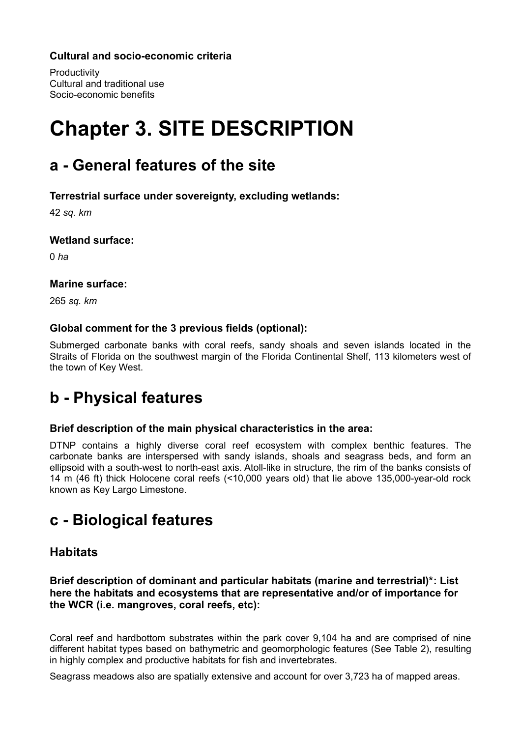#### **Cultural and socio-economic criteria**

**Productivity** Cultural and traditional use Socio-economic benefits

## **Chapter 3. SITE DESCRIPTION**

## **a - General features of the site**

**Terrestrial surface under sovereignty, excluding wetlands:** 

42 *sq. km*

#### **Wetland surface:**

0 *ha*

#### **Marine surface:**

265 *sq. km*

#### **Global comment for the 3 previous fields (optional):**

Submerged carbonate banks with coral reefs, sandy shoals and seven islands located in the Straits of Florida on the southwest margin of the Florida Continental Shelf, 113 kilometers west of the town of Key West.

## **b - Physical features**

#### **Brief description of the main physical characteristics in the area:**

DTNP contains a highly diverse coral reef ecosystem with complex benthic features. The carbonate banks are interspersed with sandy islands, shoals and seagrass beds, and form an ellipsoid with a south-west to north-east axis. Atoll-like in structure, the rim of the banks consists of 14 m (46 ft) thick Holocene coral reefs (<10,000 years old) that lie above 135,000-year-old rock known as Key Largo Limestone.

## **c - Biological features**

### **Habitats**

**Brief description of dominant and particular habitats (marine and terrestrial)\*: List here the habitats and ecosystems that are representative and/or of importance for the WCR (i.e. mangroves, coral reefs, etc):** 

Coral reef and hardbottom substrates within the park cover 9,104 ha and are comprised of nine different habitat types based on bathymetric and geomorphologic features (See Table 2), resulting in highly complex and productive habitats for fish and invertebrates.

Seagrass meadows also are spatially extensive and account for over 3,723 ha of mapped areas.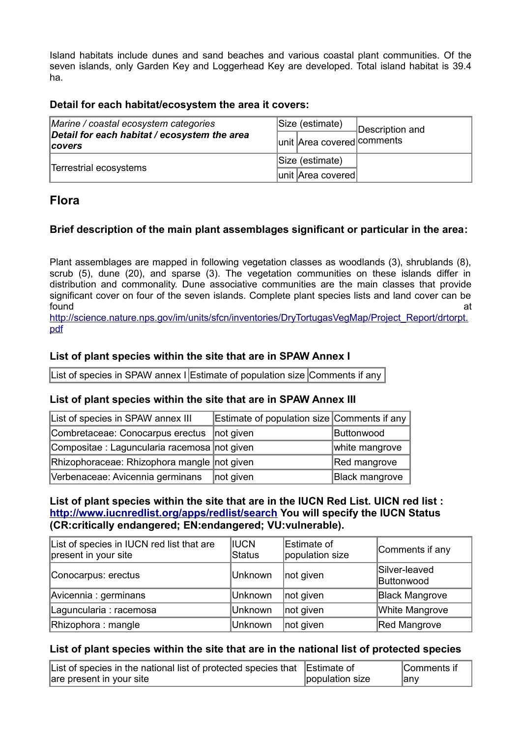Island habitats include dunes and sand beaches and various coastal plant communities. Of the seven islands, only Garden Key and Loggerhead Key are developed. Total island habitat is 39.4 ha.

#### **Detail for each habitat/ecosystem the area it covers:**

| Marine / coastal ecosystem categories                         | Size (estimate)<br>Description and |
|---------------------------------------------------------------|------------------------------------|
| Detail for each habitat / ecosystem the area<br><b>covers</b> | unit Area covered comments         |
| Terrestrial ecosystems                                        | Size (estimate)                    |
|                                                               | unit Area covered                  |

#### **Flora**

#### **Brief description of the main plant assemblages significant or particular in the area:**

Plant assemblages are mapped in following vegetation classes as woodlands (3), shrublands (8), scrub (5), dune (20), and sparse (3). The vegetation communities on these islands differ in distribution and commonality. Dune associative communities are the main classes that provide significant cover on four of the seven islands. Complete plant species lists and land cover can be found at the contract of the contract of the contract of the contract of the contract of the contract of the contract of the contract of the contract of the contract of the contract of the contract of the contract of the c

[http://science.nature.nps.gov/im/units/sfcn/inventories/DryTortugasVegMap/Project\\_Report/drtorpt.](http://science.nature.nps.gov/im/units/sfcn/inventories/DryTortugasVegMap/Project_Report/drtorpt.pdf) [pdf](http://science.nature.nps.gov/im/units/sfcn/inventories/DryTortugasVegMap/Project_Report/drtorpt.pdf)

#### **List of plant species within the site that are in SPAW Annex I**

List of species in SPAW annex I Estimate of population size Comments if any

#### **List of plant species within the site that are in SPAW Annex III**

| List of species in SPAW annex III            | Estimate of population size Comments if any |                       |
|----------------------------------------------|---------------------------------------------|-----------------------|
| Combretaceae: Conocarpus erectus             | not given                                   | Buttonwood            |
| Compositae : Laguncularia racemosa not given |                                             | white mangrove        |
| Rhizophoraceae: Rhizophora mangle not given  |                                             | Red mangrove          |
| Verbenaceae: Avicennia germinans             | not given                                   | <b>Black mangrove</b> |

#### **List of plant species within the site that are in the IUCN Red List. UICN red list : <http://www.iucnredlist.org/apps/redlist/search>You will specify the IUCN Status (CR:critically endangered; EN:endangered; VU:vulnerable).**

| List of species in IUCN red list that are<br>present in your site | <b>IIUCN</b><br>Status | Estimate of<br>population size | Comments if any             |
|-------------------------------------------------------------------|------------------------|--------------------------------|-----------------------------|
| Conocarpus: erectus                                               | Unknown                | not given                      | Silver-leaved<br>Buttonwood |
| Avicennia : germinans                                             | Unknown                | not given                      | <b>Black Mangrove</b>       |
| Laguncularia : racemosa                                           | <b>Unknown</b>         | not given                      | <b>White Mangrove</b>       |
| Rhizophora: mangle                                                | <b>Unknown</b>         | not given                      | <b>Red Mangrove</b>         |

#### **List of plant species within the site that are in the national list of protected species**

| List of species in the national list of protected species that Estimate of |                 | Comments if |
|----------------------------------------------------------------------------|-----------------|-------------|
| are present in your site                                                   | population size | ∣anv        |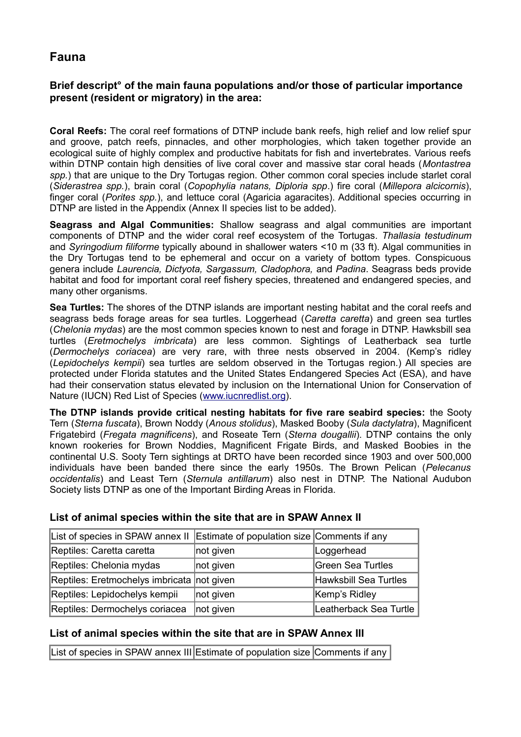#### **Fauna**

#### **Brief descript° of the main fauna populations and/or those of particular importance present (resident or migratory) in the area:**

**Coral Reefs:** The coral reef formations of DTNP include bank reefs, high relief and low relief spur and groove, patch reefs, pinnacles, and other morphologies, which taken together provide an ecological suite of highly complex and productive habitats for fish and invertebrates. Various reefs within DTNP contain high densities of live coral cover and massive star coral heads (*Montastrea spp.*) that are unique to the Dry Tortugas region. Other common coral species include starlet coral (*Siderastrea spp.*), brain coral (*Copophylia natans, Diploria spp*.) fire coral (*Millepora alcicornis*), finger coral (*Porites spp.*), and lettuce coral (Agaricia agaracites). Additional species occurring in DTNP are listed in the Appendix (Annex II species list to be added).

**Seagrass and Algal Communities:** Shallow seagrass and algal communities are important components of DTNP and the wider coral reef ecosystem of the Tortugas. *Thallasia testudinum* and *Syringodium filiforme* typically abound in shallower waters <10 m (33 ft). Algal communities in the Dry Tortugas tend to be ephemeral and occur on a variety of bottom types. Conspicuous genera include *Laurencia, Dictyota, Sargassum, Cladophora,* and *Padina*. Seagrass beds provide habitat and food for important coral reef fishery species, threatened and endangered species, and many other organisms.

**Sea Turtles:** The shores of the DTNP islands are important nesting habitat and the coral reefs and seagrass beds forage areas for sea turtles. Loggerhead (*Caretta caretta*) and green sea turtles (*Chelonia mydas*) are the most common species known to nest and forage in DTNP. Hawksbill sea turtles (*Eretmochelys imbricata*) are less common. Sightings of Leatherback sea turtle (*Dermochelys coriacea*) are very rare, with three nests observed in 2004. (Kemp's ridley (*Lepidochelys kempii*) sea turtles are seldom observed in the Tortugas region.) All species are protected under Florida statutes and the United States Endangered Species Act (ESA), and have had their conservation status elevated by inclusion on the International Union for Conservation of Nature (IUCN) Red List of Species [\(www.iucnredlist.org\)](http://www.iucnredlist.org/).

**The DTNP islands provide critical nesting habitats for five rare seabird species:** the Sooty Tern (*Sterna fuscata*), Brown Noddy (*Anous stolidus*), Masked Booby (*Sula dactylatra*), Magnificent Frigatebird (*Fregata magnificens*), and Roseate Tern (*Sterna dougallii*). DTNP contains the only known rookeries for Brown Noddies, Magnificent Frigate Birds, and Masked Boobies in the continental U.S. Sooty Tern sightings at DRTO have been recorded since 1903 and over 500,000 individuals have been banded there since the early 1950s. The Brown Pelican (*Pelecanus occidentalis*) and Least Tern (*Sternula antillarum*) also nest in DTNP. The National Audubon Society lists DTNP as one of the Important Birding Areas in Florida.

| List of species in SPAW annex II Estimate of population size Comments if any |           |                        |
|------------------------------------------------------------------------------|-----------|------------------------|
| Reptiles: Caretta caretta                                                    | not given | Loggerhead             |
| Reptiles: Chelonia mydas                                                     | not given | Green Sea Turtles      |
| Reptiles: Eretmochelys imbricata not given                                   |           | Hawksbill Sea Turtles  |
| Reptiles: Lepidochelys kempii                                                | not given | Kemp's Ridley          |
| Reptiles: Dermochelys coriacea                                               | not given | Leatherback Sea Turtle |

#### **List of animal species within the site that are in SPAW Annex II**

#### **List of animal species within the site that are in SPAW Annex III**

List of species in SPAW annex III Estimate of population size Comments if any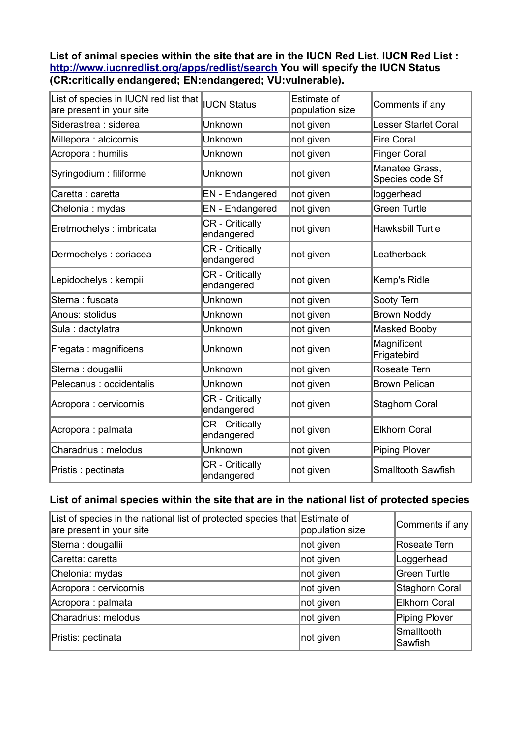**List of animal species within the site that are in the IUCN Red List. IUCN Red List : <http://www.iucnredlist.org/apps/redlist/search>You will specify the IUCN Status (CR:critically endangered; EN:endangered; VU:vulnerable).**

| List of species in IUCN red list that<br>are present in your site | <b>IUCN Status</b>                   | Estimate of<br>population size | Comments if any                   |
|-------------------------------------------------------------------|--------------------------------------|--------------------------------|-----------------------------------|
| Siderastrea : siderea                                             | Unknown                              | not given                      | <b>Lesser Starlet Coral</b>       |
| Millepora : alcicornis                                            | Unknown                              | not given                      | <b>Fire Coral</b>                 |
| Acropora : humilis                                                | Unknown                              | not given                      | <b>Finger Coral</b>               |
| Syringodium: filiforme                                            | Unknown                              | not given                      | Manatee Grass,<br>Species code Sf |
| Caretta: caretta                                                  | EN - Endangered                      | not given                      | loggerhead                        |
| Chelonia: mydas                                                   | EN - Endangered                      | not given                      | <b>Green Turtle</b>               |
| Eretmochelys: imbricata                                           | <b>CR</b> - Critically<br>endangered | not given                      | <b>Hawksbill Turtle</b>           |
| Dermochelys : coriacea                                            | <b>CR</b> - Critically<br>endangered | not given                      | Leatherback                       |
| Lepidochelys: kempii                                              | <b>CR</b> - Critically<br>endangered | not given                      | Kemp's Ridle                      |
| Sterna: fuscata                                                   | Unknown                              | not given                      | Sooty Tern                        |
| Anous: stolidus                                                   | Unknown                              | not given                      | <b>Brown Noddy</b>                |
| Sula: dactylatra                                                  | Unknown                              | not given                      | Masked Booby                      |
| Fregata: magnificens                                              | Unknown                              | not given                      | Magnificent<br>Frigatebird        |
| Sterna : dougallii                                                | Unknown                              | not given                      | Roseate Tern                      |
| Pelecanus : occidentalis                                          | Unknown                              | not given                      | <b>Brown Pelican</b>              |
| Acropora : cervicornis                                            | <b>CR</b> - Critically<br>endangered | not given                      | <b>Staghorn Coral</b>             |
| <b>CR</b> - Critically<br>Acropora : palmata<br>endangered        |                                      | not given                      | <b>Elkhorn Coral</b>              |
| Charadrius: melodus                                               | Unknown                              | not given                      | <b>Piping Plover</b>              |
| Pristis : pectinata                                               | <b>CR</b> - Critically<br>endangered | not given                      | <b>Smalltooth Sawfish</b>         |

#### **List of animal species within the site that are in the national list of protected species**

| List of species in the national list of protected species that Estimate of<br>are present in your site | population size | Comments if any       |
|--------------------------------------------------------------------------------------------------------|-----------------|-----------------------|
| Sterna : dougallii                                                                                     | not given       | Roseate Tern          |
| Caretta: caretta                                                                                       | not given       | Loggerhead            |
| Chelonia: mydas                                                                                        | not given       | Green Turtle          |
| Acropora : cervicornis                                                                                 | not given       | Staghorn Coral        |
| Acropora : palmata                                                                                     | not given       | Elkhorn Coral         |
| Charadrius: melodus                                                                                    | not given       | Piping Plover         |
| Pristis: pectinata                                                                                     | not given       | Smalltooth<br>Sawfish |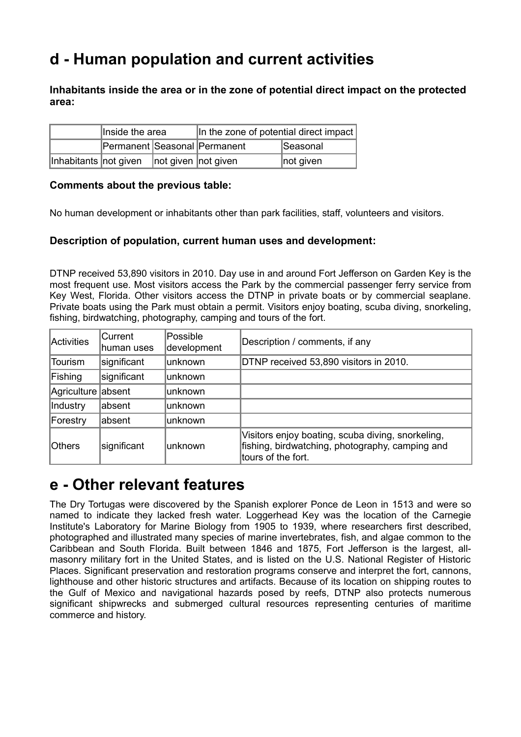## **d - Human population and current activities**

**Inhabitants inside the area or in the zone of potential direct impact on the protected area:** 

|                       | Inside the area              |                     | In the zone of potential direct impact |           |  |
|-----------------------|------------------------------|---------------------|----------------------------------------|-----------|--|
|                       | Permanent Seasonal Permanent |                     |                                        | Seasonal  |  |
| Inhabitants not given |                              | not given not given |                                        | not given |  |

#### **Comments about the previous table:**

No human development or inhabitants other than park facilities, staff, volunteers and visitors.

#### **Description of population, current human uses and development:**

DTNP received 53,890 visitors in 2010. Day use in and around Fort Jefferson on Garden Key is the most frequent use. Most visitors access the Park by the commercial passenger ferry service from Key West, Florida. Other visitors access the DTNP in private boats or by commercial seaplane. Private boats using the Park must obtain a permit. Visitors enjoy boating, scuba diving, snorkeling, fishing, birdwatching, photography, camping and tours of the fort.

| Activities         | Current<br>human uses | Possible<br>development | Description / comments, if any                                                                                             |
|--------------------|-----------------------|-------------------------|----------------------------------------------------------------------------------------------------------------------------|
| Tourism            | significant           | unknown                 | DTNP received 53,890 visitors in 2010.                                                                                     |
| Fishing            | significant           | unknown                 |                                                                                                                            |
| Agriculture absent |                       | unknown                 |                                                                                                                            |
| Industry           | absent                | unknown                 |                                                                                                                            |
| Forestry           | absent                | unknown                 |                                                                                                                            |
| <b>Others</b>      | significant           | unknown                 | Visitors enjoy boating, scuba diving, snorkeling,<br>fishing, birdwatching, photography, camping and<br>tours of the fort. |

### **e - Other relevant features**

The Dry Tortugas were discovered by the Spanish explorer Ponce de Leon in 1513 and were so named to indicate they lacked fresh water. Loggerhead Key was the location of the Carnegie Institute's Laboratory for Marine Biology from 1905 to 1939, where researchers first described, photographed and illustrated many species of marine invertebrates, fish, and algae common to the Caribbean and South Florida. Built between 1846 and 1875, Fort Jefferson is the largest, allmasonry military fort in the United States, and is listed on the U.S. National Register of Historic Places. Significant preservation and restoration programs conserve and interpret the fort, cannons, lighthouse and other historic structures and artifacts. Because of its location on shipping routes to the Gulf of Mexico and navigational hazards posed by reefs, DTNP also protects numerous significant shipwrecks and submerged cultural resources representing centuries of maritime commerce and history.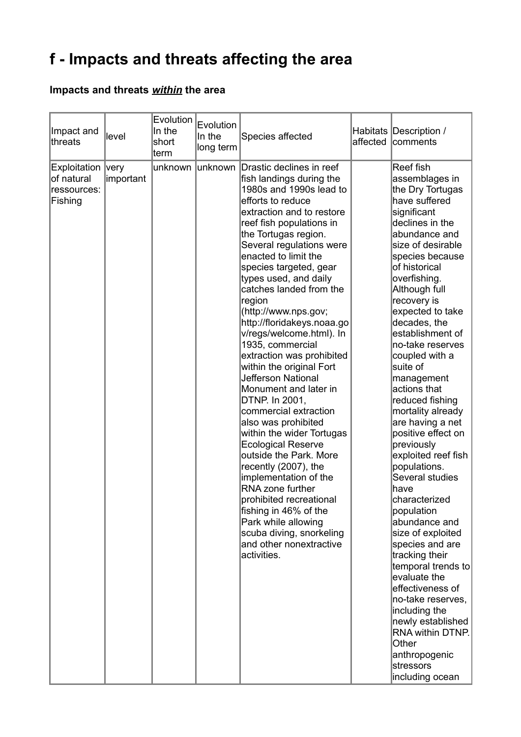## **f - Impacts and threats affecting the area**

### **Impacts and threats** *within* **the area**

| Impact and<br>threats                                     | level     | Evolution<br>In the<br>short<br>term | Evolution<br>In the<br>long term | Species affected                                                                                                                                                                                                                                                                                                                                                                                                                                                                                                                                                                                                                                                                                                                                                                                                                                                                                                                   | affected | Habitats   Description /<br>comments                                                                                                                                                                                                                                                                                                                                                                                                                                                                                                                                                                                                                                                                                                                                                                                                                |
|-----------------------------------------------------------|-----------|--------------------------------------|----------------------------------|------------------------------------------------------------------------------------------------------------------------------------------------------------------------------------------------------------------------------------------------------------------------------------------------------------------------------------------------------------------------------------------------------------------------------------------------------------------------------------------------------------------------------------------------------------------------------------------------------------------------------------------------------------------------------------------------------------------------------------------------------------------------------------------------------------------------------------------------------------------------------------------------------------------------------------|----------|-----------------------------------------------------------------------------------------------------------------------------------------------------------------------------------------------------------------------------------------------------------------------------------------------------------------------------------------------------------------------------------------------------------------------------------------------------------------------------------------------------------------------------------------------------------------------------------------------------------------------------------------------------------------------------------------------------------------------------------------------------------------------------------------------------------------------------------------------------|
| Exploitation very<br>of natural<br>ressources:<br>Fishing | important | unknown                              | lunknown                         | Drastic declines in reef<br>fish landings during the<br>1980s and 1990s lead to<br>efforts to reduce<br>extraction and to restore<br>reef fish populations in<br>the Tortugas region.<br>Several regulations were<br>enacted to limit the<br>species targeted, gear<br>types used, and daily<br>catches landed from the<br>region<br>(http://www.nps.gov;<br>http://floridakeys.noaa.go<br>v/regs/welcome.html). In<br>1935, commercial<br>extraction was prohibited<br>within the original Fort<br><b>Jefferson National</b><br>Monument and later in<br>DTNP. In 2001,<br>commercial extraction<br>also was prohibited<br>within the wider Tortugas<br><b>Ecological Reserve</b><br>outside the Park. More<br>recently (2007), the<br>implementation of the<br>RNA zone further<br>prohibited recreational<br>fishing in 46% of the<br>Park while allowing<br>scuba diving, snorkeling<br>and other nonextractive<br>activities. |          | Reef fish<br>assemblages in<br>the Dry Tortugas<br>have suffered<br>significant<br>declines in the<br>abundance and<br>size of desirable<br>species because<br>of historical<br>overfishing.<br>Although full<br>recovery is<br>expected to take<br>decades, the<br>establishment of<br>no-take reserves<br>coupled with a<br>suite of<br>management<br>actions that<br>reduced fishing<br>mortality already<br>are having a net<br>positive effect on<br>previously<br>exploited reef fish<br>populations.<br>Several studies<br>have<br>characterized<br>population<br>abundance and<br>size of exploited<br>species and are<br>tracking their<br>temporal trends to<br>evaluate the<br>effectiveness of<br>no-take reserves,<br>including the<br>newly established<br>RNA within DTNP.<br>Other<br>anthropogenic<br>stressors<br>including ocean |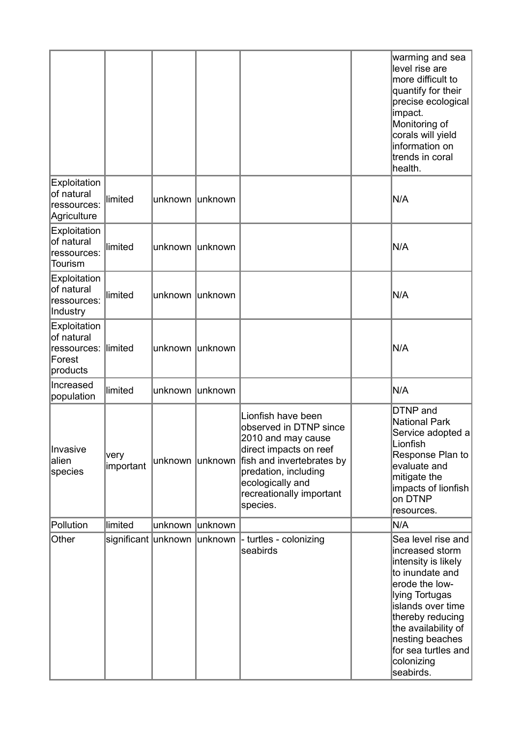|                                                                 |                             |                  |                                                                                                                                                                                                               | warming and sea<br>level rise are<br>more difficult to<br>quantify for their<br>precise ecological<br>impact.<br>Monitoring of<br>corals will yield<br>information on<br>trends in coral<br>health.                                                      |
|-----------------------------------------------------------------|-----------------------------|------------------|---------------------------------------------------------------------------------------------------------------------------------------------------------------------------------------------------------------|----------------------------------------------------------------------------------------------------------------------------------------------------------------------------------------------------------------------------------------------------------|
| Exploitation<br>of natural<br>ressources:<br>Agriculture        | limited                     | unknown unknown  |                                                                                                                                                                                                               | N/A                                                                                                                                                                                                                                                      |
| Exploitation<br>of natural<br>ressources:<br><b>Tourism</b>     | limited                     | unknown lunknown |                                                                                                                                                                                                               | N/A                                                                                                                                                                                                                                                      |
| Exploitation<br>of natural<br>ressources:<br>Industry           | limited                     | unknown unknown  |                                                                                                                                                                                                               | N/A                                                                                                                                                                                                                                                      |
| Exploitation<br>of natural<br>ressources:<br>Forest<br>products | limited                     | unknown unknown  |                                                                                                                                                                                                               | N/A                                                                                                                                                                                                                                                      |
| Increased<br>population                                         | limited                     | unknown unknown  |                                                                                                                                                                                                               | N/A                                                                                                                                                                                                                                                      |
| Invasive<br>alien<br>species                                    | very<br>important           | unknown unknown  | Lionfish have been<br>observed in DTNP since<br>2010 and may cause<br>direct impacts on reef<br>fish and invertebrates by<br>predation, including<br>ecologically and<br>recreationally important<br>species. | DTNP and<br><b>National Park</b><br>Service adopted a<br>Lionfish<br>Response Plan to<br>evaluate and<br>mitigate the<br>impacts of lionfish<br>on DTNP<br>resources.                                                                                    |
| Pollution                                                       | limited                     | unknown unknown  |                                                                                                                                                                                                               | N/A                                                                                                                                                                                                                                                      |
| Other                                                           | significant unknown unknown |                  | - turtles - colonizing<br>seabirds                                                                                                                                                                            | Sea level rise and<br>increased storm<br>intensity is likely<br>to inundate and<br>erode the low-<br>lying Tortugas<br>islands over time<br>thereby reducing<br>the availability of<br>nesting beaches<br>for sea turtles and<br>colonizing<br>seabirds. |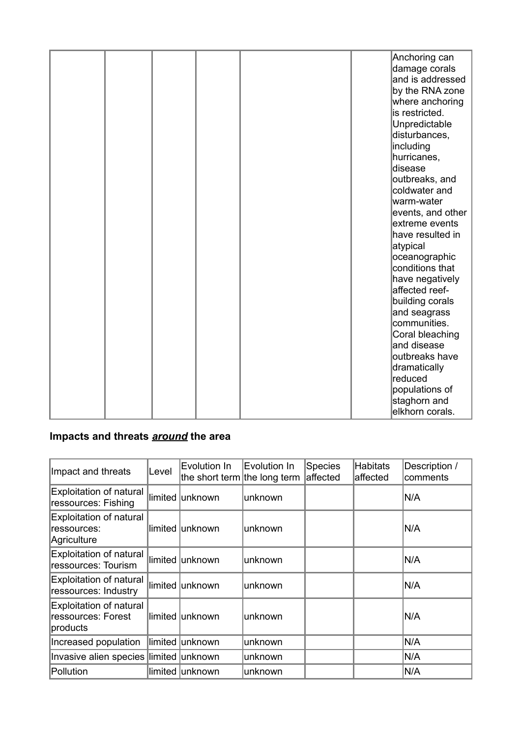|  |  | Anchoring can<br>damage corals<br>and is addressed<br>by the RNA zone<br>where anchoring<br>is restricted.<br>Unpredictable<br>disturbances,<br>including<br>hurricanes,<br>disease<br>outbreaks, and<br>coldwater and<br>warm-water<br>events, and other<br>extreme events<br>have resulted in<br>atypical<br>oceanographic<br>conditions that<br>have negatively<br>affected reef-<br>building corals<br>and seagrass<br>communities.<br>Coral bleaching<br>and disease<br>outbreaks have<br>dramatically<br>reduced |
|--|--|------------------------------------------------------------------------------------------------------------------------------------------------------------------------------------------------------------------------------------------------------------------------------------------------------------------------------------------------------------------------------------------------------------------------------------------------------------------------------------------------------------------------|
|  |  | populations of<br>staghorn and<br>elkhorn corals.                                                                                                                                                                                                                                                                                                                                                                                                                                                                      |

### **Impacts and threats** *around* **the area**

| Impact and threats                                               | Level | Evolution In<br>the short term the long term | Evolution In | Species<br>affected | <b>Habitats</b><br>affected | Description /<br>comments |
|------------------------------------------------------------------|-------|----------------------------------------------|--------------|---------------------|-----------------------------|---------------------------|
| <b>Exploitation of natural</b><br>ressources: Fishing            |       | limited unknown                              | unknown      |                     |                             | N/A                       |
| <b>Exploitation of natural</b><br>ressources:<br>Agriculture     |       | limited lunknown                             | unknown      |                     |                             | N/A                       |
| Exploitation of natural<br>ressources: Tourism                   |       | limited unknown                              | unknown      |                     |                             | N/A                       |
| <b>Exploitation of natural</b><br>ressources: Industry           |       | limited unknown                              | unknown      |                     |                             | N/A                       |
| <b>Exploitation of natural</b><br>ressources: Forest<br>products |       | limited lunknown                             | unknown      |                     |                             | N/A                       |
| Increased population                                             |       | limited unknown                              | unknown      |                     |                             | N/A                       |
| Invasive alien species limited unknown                           |       |                                              | unknown      |                     |                             | N/A                       |
| Pollution                                                        |       | limited lunknown                             | unknown      |                     |                             | N/A                       |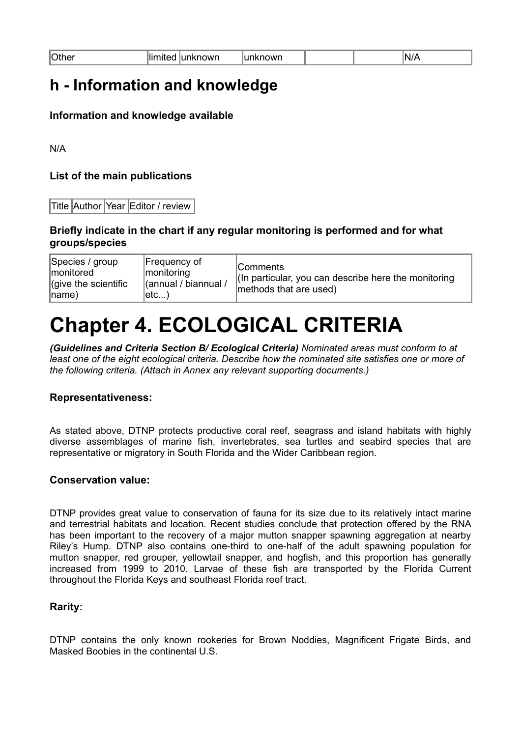| Othei | $\mathsf{HIP}$ | .nowr<br>או<br>$ -$ | ∩wr<br>7 I A |  | 'N<br>ч. |  |
|-------|----------------|---------------------|--------------|--|----------|--|
|       |                |                     |              |  |          |  |

### **h - Information and knowledge**

#### **Information and knowledge available**

N/A

#### **List of the main publications**

Title Author Year Editor / review

#### **Briefly indicate in the chart if any regular monitoring is performed and for what groups/species**

| Species / group                 | Frequency of         | <b>IComments</b>                                     |
|---------------------------------|----------------------|------------------------------------------------------|
| Imonitored                      | monitoring           | (In particular, you can describe here the monitoring |
| $\sqrt{q}$ (give the scientific | (annual / biannual / | methods that are used)                               |
| name)                           | letc)                |                                                      |

## **Chapter 4. ECOLOGICAL CRITERIA**

*(Guidelines and Criteria Section B/ Ecological Criteria) Nominated areas must conform to at least one of the eight ecological criteria. Describe how the nominated site satisfies one or more of the following criteria. (Attach in Annex any relevant supporting documents.)*

#### **Representativeness:**

As stated above, DTNP protects productive coral reef, seagrass and island habitats with highly diverse assemblages of marine fish, invertebrates, sea turtles and seabird species that are representative or migratory in South Florida and the Wider Caribbean region.

#### **Conservation value:**

DTNP provides great value to conservation of fauna for its size due to its relatively intact marine and terrestrial habitats and location. Recent studies conclude that protection offered by the RNA has been important to the recovery of a major mutton snapper spawning aggregation at nearby Riley's Hump. DTNP also contains one-third to one-half of the adult spawning population for mutton snapper, red grouper, yellowtail snapper, and hogfish, and this proportion has generally increased from 1999 to 2010. Larvae of these fish are transported by the Florida Current throughout the Florida Keys and southeast Florida reef tract.

#### **Rarity:**

DTNP contains the only known rookeries for Brown Noddies, Magnificent Frigate Birds, and Masked Boobies in the continental U.S.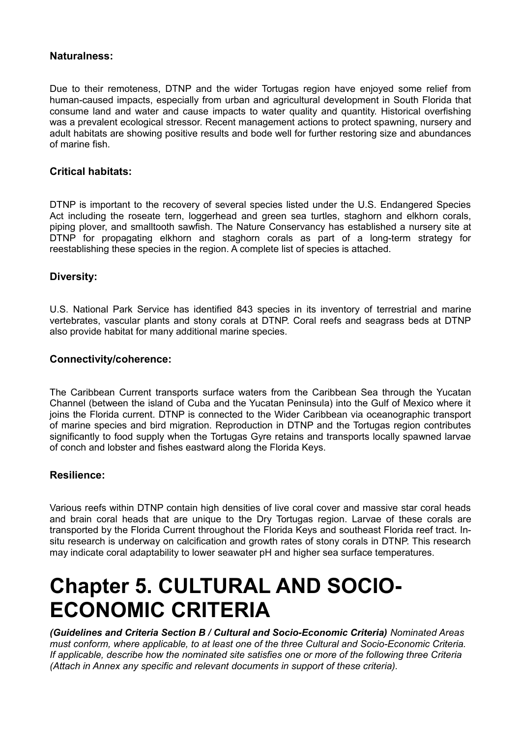#### **Naturalness:**

Due to their remoteness, DTNP and the wider Tortugas region have enjoyed some relief from human-caused impacts, especially from urban and agricultural development in South Florida that consume land and water and cause impacts to water quality and quantity. Historical overfishing was a prevalent ecological stressor. Recent management actions to protect spawning, nursery and adult habitats are showing positive results and bode well for further restoring size and abundances of marine fish.

#### **Critical habitats:**

DTNP is important to the recovery of several species listed under the U.S. Endangered Species Act including the roseate tern, loggerhead and green sea turtles, staghorn and elkhorn corals, piping plover, and smalltooth sawfish. The Nature Conservancy has established a nursery site at DTNP for propagating elkhorn and staghorn corals as part of a long-term strategy for reestablishing these species in the region. A complete list of species is attached.

#### **Diversity:**

U.S. National Park Service has identified 843 species in its inventory of terrestrial and marine vertebrates, vascular plants and stony corals at DTNP. Coral reefs and seagrass beds at DTNP also provide habitat for many additional marine species.

#### **Connectivity/coherence:**

The Caribbean Current transports surface waters from the Caribbean Sea through the Yucatan Channel (between the island of Cuba and the Yucatan Peninsula) into the Gulf of Mexico where it joins the Florida current. DTNP is connected to the Wider Caribbean via oceanographic transport of marine species and bird migration. Reproduction in DTNP and the Tortugas region contributes significantly to food supply when the Tortugas Gyre retains and transports locally spawned larvae of conch and lobster and fishes eastward along the Florida Keys.

#### **Resilience:**

Various reefs within DTNP contain high densities of live coral cover and massive star coral heads and brain coral heads that are unique to the Dry Tortugas region. Larvae of these corals are transported by the Florida Current throughout the Florida Keys and southeast Florida reef tract. Insitu research is underway on calcification and growth rates of stony corals in DTNP. This research may indicate coral adaptability to lower seawater pH and higher sea surface temperatures.

## **Chapter 5. CULTURAL AND SOCIO-ECONOMIC CRITERIA**

*(Guidelines and Criteria Section B / Cultural and Socio-Economic Criteria) Nominated Areas must conform, where applicable, to at least one of the three Cultural and Socio-Economic Criteria. If applicable, describe how the nominated site satisfies one or more of the following three Criteria (Attach in Annex any specific and relevant documents in support of these criteria).*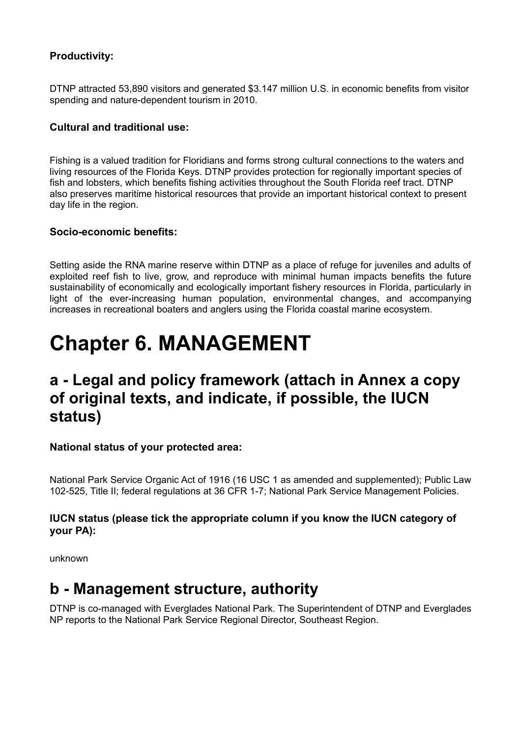#### **Productivity:**

DTNP attracted 53,890 visitors and generated \$3.147 million U.S. in economic benefits from visitor spending and nature-dependent tourism in 2010.

#### **Cultural and traditional use:**

Fishing is a valued tradition for Floridians and forms strong cultural connections to the waters and living resources of the Florida Keys. DTNP provides protection for regionally important species of fish and lobsters, which benefits fishing activities throughout the South Florida reef tract. DTNP also preserves maritime historical resources that provide an important historical context to present day life in the region.

#### **Socio-economic benefits:**

Setting aside the RNA marine reserve within DTNP as a place of refuge for juveniles and adults of exploited reef fish to live, grow, and reproduce with minimal human impacts benefits the future sustainability of economically and ecologically important fishery resources in Florida, particularly in light of the ever-increasing human population, environmental changes, and accompanying increases in recreational boaters and anglers using the Florida coastal marine ecosystem.

## **Chapter 6. MANAGEMENT**

### **a - Legal and policy framework (attach in Annex a copy of original texts, and indicate, if possible, the IUCN status)**

#### **National status of your protected area:**

National Park Service Organic Act of 1916 (16 USC 1 as amended and supplemented); Public Law 102-525, Title II; federal regulations at 36 CFR 1-7; National Park Service Management Policies.

#### **IUCN status (please tick the appropriate column if you know the IUCN category of your PA):**

unknown

### **b - Management structure, authority**

DTNP is co-managed with Everglades National Park. The Superintendent of DTNP and Everglades NP reports to the National Park Service Regional Director, Southeast Region.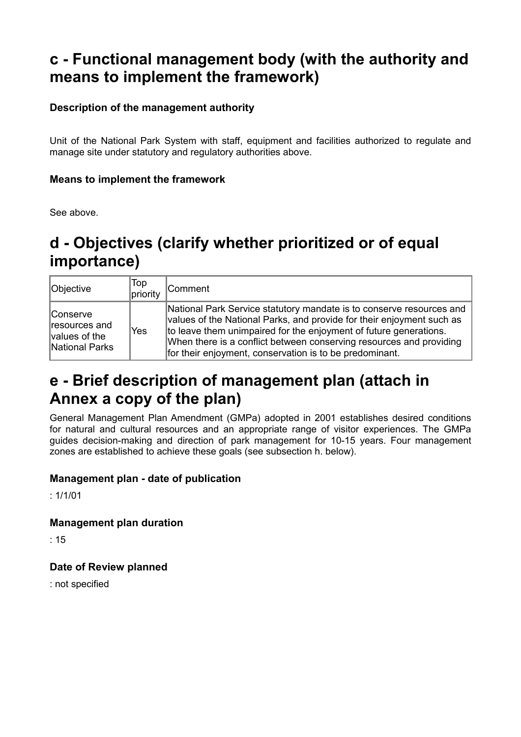## **c - Functional management body (with the authority and means to implement the framework)**

#### **Description of the management authority**

Unit of the National Park System with staff, equipment and facilities authorized to regulate and manage site under statutory and regulatory authorities above.

#### **Means to implement the framework**

See above.

## **d - Objectives (clarify whether prioritized or of equal importance)**

| Objective                                                    | Top<br>priority | Comment                                                                                                                                                                                                                                                                                                                                              |
|--------------------------------------------------------------|-----------------|------------------------------------------------------------------------------------------------------------------------------------------------------------------------------------------------------------------------------------------------------------------------------------------------------------------------------------------------------|
| Conserve<br>resources and<br>values of the<br>National Parks | Yes             | National Park Service statutory mandate is to conserve resources and<br>values of the National Parks, and provide for their enjoyment such as<br>to leave them unimpaired for the enjoyment of future generations.<br>When there is a conflict between conserving resources and providing<br>for their enjoyment, conservation is to be predominant. |

## **e - Brief description of management plan (attach in Annex a copy of the plan)**

General Management Plan Amendment (GMPa) adopted in 2001 establishes desired conditions for natural and cultural resources and an appropriate range of visitor experiences. The GMPa guides decision-making and direction of park management for 10-15 years. Four management zones are established to achieve these goals (see subsection h. below).

#### **Management plan - date of publication**

: 1/1/01

**Management plan duration** 

: 15

**Date of Review planned** 

: not specified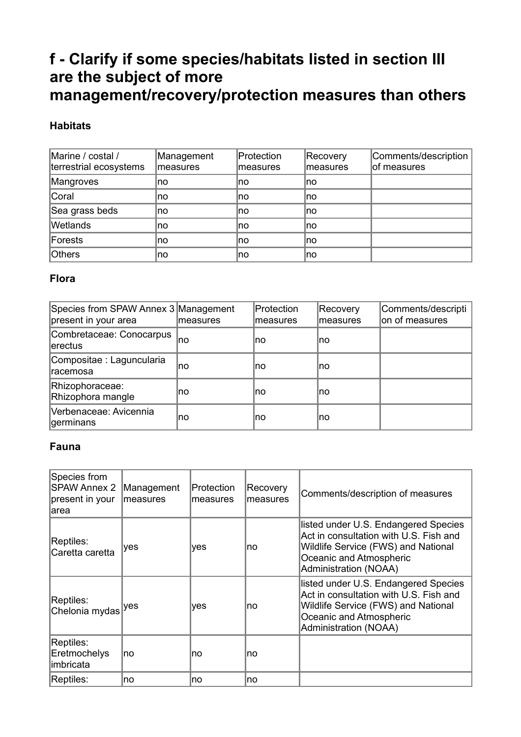## **f - Clarify if some species/habitats listed in section III are the subject of more management/recovery/protection measures than others**

#### **Habitats**

| Marine / costal /<br>terrestrial ecosystems | Management<br>measures | Protection<br><b>Imeasures</b> | Recovery<br>Imeasures | Comments/description<br>of measures |
|---------------------------------------------|------------------------|--------------------------------|-----------------------|-------------------------------------|
| Mangroves                                   | no                     | lno.                           | ∣no                   |                                     |
| Coral                                       | no                     | no                             | Ino                   |                                     |
| Sea grass beds                              | no                     | Ino                            | Ino                   |                                     |
| <b>Wetlands</b>                             | no                     | Ino                            | Ino                   |                                     |
| Forests                                     | no                     | Ino                            | Ino                   |                                     |
| Others                                      | no                     | no                             | Ino                   |                                     |

#### **Flora**

| Species from SPAW Annex 3 Management<br>present in your area | measures | Protection<br>lmeasures | Recovery<br>measures | Comments/descripti<br>on of measures |
|--------------------------------------------------------------|----------|-------------------------|----------------------|--------------------------------------|
| Combretaceae: Conocarpus<br>∣erectus                         | no       | Ino                     | no                   |                                      |
| Compositae : Laguncularia<br>Iracemosa                       | no       | lno.                    | no.                  |                                      |
| Rhizophoraceae:<br>Rhizophora mangle                         | no       | Ino                     | Ino                  |                                      |
| Verbenaceae: Avicennia<br>germinans                          | no       | lno.                    | no                   |                                      |

#### **Fauna**

| Species from<br><b>SPAW Annex 2</b><br>present in your<br>larea | Management<br>measures | Protection<br>measures | Recovery<br>measures | Comments/description of measures                                                                                                                                                 |
|-----------------------------------------------------------------|------------------------|------------------------|----------------------|----------------------------------------------------------------------------------------------------------------------------------------------------------------------------------|
| Reptiles:<br>Caretta caretta                                    | yes                    | yes                    | no.                  | listed under U.S. Endangered Species<br>Act in consultation with U.S. Fish and<br>Wildlife Service (FWS) and National<br>Oceanic and Atmospheric<br><b>Administration (NOAA)</b> |
| Reptiles:<br>Chelonia mydas <sup>yes</sup>                      |                        | yes                    | no.                  | listed under U.S. Endangered Species<br>Act in consultation with U.S. Fish and<br>Wildlife Service (FWS) and National<br>Oceanic and Atmospheric<br>Administration (NOAA)        |
| Reptiles:<br>Eretmochelys<br>limbricata                         | Ino                    | no                     | ∣no                  |                                                                                                                                                                                  |
| Reptiles:                                                       | no                     | no                     | Ino                  |                                                                                                                                                                                  |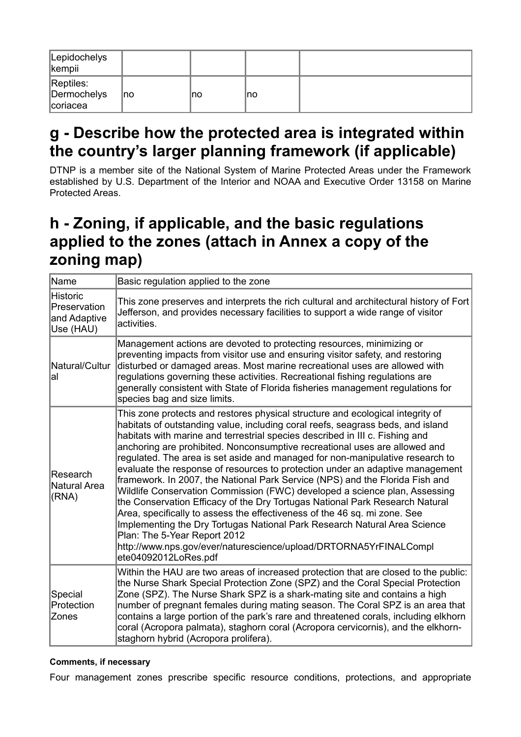| Lepidochelys<br>kempii               |      |      |     |  |
|--------------------------------------|------|------|-----|--|
| Reptiles:<br>Dermochelys<br>coriacea | lno. | lno. | Ino |  |

## **g - Describe how the protected area is integrated within the country's larger planning framework (if applicable)**

DTNP is a member site of the National System of Marine Protected Areas under the Framework established by U.S. Department of the Interior and NOAA and Executive Order 13158 on Marine Protected Areas.

## **h - Zoning, if applicable, and the basic regulations applied to the zones (attach in Annex a copy of the zoning map)**

| Name                                                         | Basic regulation applied to the zone                                                                                                                                                                                                                                                                                                                                                                                                                                                                                                                                                                                                                                                                                                                                                                                                                                                                                                                                                                                                   |
|--------------------------------------------------------------|----------------------------------------------------------------------------------------------------------------------------------------------------------------------------------------------------------------------------------------------------------------------------------------------------------------------------------------------------------------------------------------------------------------------------------------------------------------------------------------------------------------------------------------------------------------------------------------------------------------------------------------------------------------------------------------------------------------------------------------------------------------------------------------------------------------------------------------------------------------------------------------------------------------------------------------------------------------------------------------------------------------------------------------|
| <b>Historic</b><br>Preservation<br>and Adaptive<br>Use (HAU) | This zone preserves and interprets the rich cultural and architectural history of Fort<br>Jefferson, and provides necessary facilities to support a wide range of visitor<br>activities.                                                                                                                                                                                                                                                                                                                                                                                                                                                                                                                                                                                                                                                                                                                                                                                                                                               |
| Natural/Cultur<br>lal                                        | Management actions are devoted to protecting resources, minimizing or<br>preventing impacts from visitor use and ensuring visitor safety, and restoring<br>disturbed or damaged areas. Most marine recreational uses are allowed with<br>regulations governing these activities. Recreational fishing regulations are<br>generally consistent with State of Florida fisheries management regulations for<br>species bag and size limits.                                                                                                                                                                                                                                                                                                                                                                                                                                                                                                                                                                                               |
| Research<br><b>Natural Area</b><br>(RNA)                     | This zone protects and restores physical structure and ecological integrity of<br>habitats of outstanding value, including coral reefs, seagrass beds, and island<br>habitats with marine and terrestrial species described in III c. Fishing and<br>anchoring are prohibited. Nonconsumptive recreational uses are allowed and<br>regulated. The area is set aside and managed for non-manipulative research to<br>evaluate the response of resources to protection under an adaptive management<br>framework. In 2007, the National Park Service (NPS) and the Florida Fish and<br>Wildlife Conservation Commission (FWC) developed a science plan, Assessing<br>the Conservation Efficacy of the Dry Tortugas National Park Research Natural<br>Area, specifically to assess the effectiveness of the 46 sq. mi zone. See<br>Implementing the Dry Tortugas National Park Research Natural Area Science<br>Plan: The 5-Year Report 2012<br>http://www.nps.gov/ever/naturescience/upload/DRTORNA5YrFINALCompl<br>ete04092012LoRes.pdf |
| Special<br>Protection<br><b>Zones</b>                        | Within the HAU are two areas of increased protection that are closed to the public:<br>the Nurse Shark Special Protection Zone (SPZ) and the Coral Special Protection<br>Zone (SPZ). The Nurse Shark SPZ is a shark-mating site and contains a high<br>number of pregnant females during mating season. The Coral SPZ is an area that<br>contains a large portion of the park's rare and threatened corals, including elkhorn<br>coral (Acropora palmata), staghorn coral (Acropora cervicornis), and the elkhorn-<br>staghorn hybrid (Acropora prolifera).                                                                                                                                                                                                                                                                                                                                                                                                                                                                            |

#### **Comments, if necessary**

Four management zones prescribe specific resource conditions, protections, and appropriate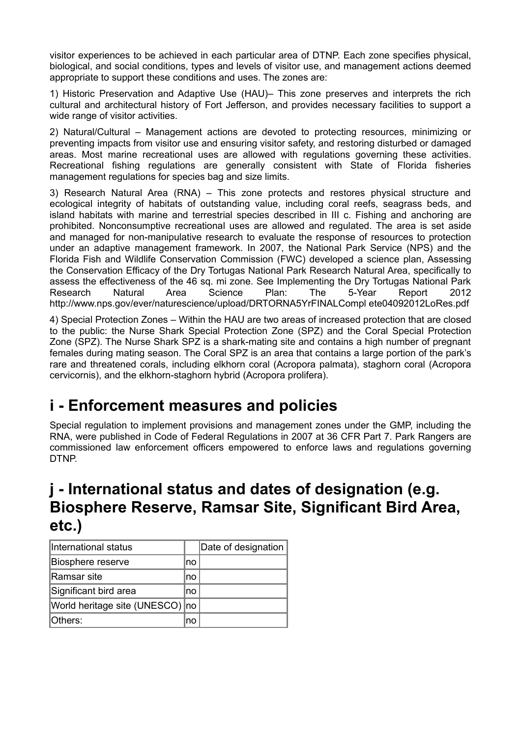visitor experiences to be achieved in each particular area of DTNP. Each zone specifies physical, biological, and social conditions, types and levels of visitor use, and management actions deemed appropriate to support these conditions and uses. The zones are:

1) Historic Preservation and Adaptive Use (HAU)– This zone preserves and interprets the rich cultural and architectural history of Fort Jefferson, and provides necessary facilities to support a wide range of visitor activities.

2) Natural/Cultural – Management actions are devoted to protecting resources, minimizing or preventing impacts from visitor use and ensuring visitor safety, and restoring disturbed or damaged areas. Most marine recreational uses are allowed with regulations governing these activities. Recreational fishing regulations are generally consistent with State of Florida fisheries management regulations for species bag and size limits.

3) Research Natural Area (RNA) – This zone protects and restores physical structure and ecological integrity of habitats of outstanding value, including coral reefs, seagrass beds, and island habitats with marine and terrestrial species described in III c. Fishing and anchoring are prohibited. Nonconsumptive recreational uses are allowed and regulated. The area is set aside and managed for non-manipulative research to evaluate the response of resources to protection under an adaptive management framework. In 2007, the National Park Service (NPS) and the Florida Fish and Wildlife Conservation Commission (FWC) developed a science plan, Assessing the Conservation Efficacy of the Dry Tortugas National Park Research Natural Area, specifically to assess the effectiveness of the 46 sq. mi zone. See Implementing the Dry Tortugas National Park Research Natural Area Science Plan: The 5-Year Report 2012 http://www.nps.gov/ever/naturescience/upload/DRTORNA5YrFINALCompl ete04092012LoRes.pdf

4) Special Protection Zones – Within the HAU are two areas of increased protection that are closed to the public: the Nurse Shark Special Protection Zone (SPZ) and the Coral Special Protection Zone (SPZ). The Nurse Shark SPZ is a shark-mating site and contains a high number of pregnant females during mating season. The Coral SPZ is an area that contains a large portion of the park's rare and threatened corals, including elkhorn coral (Acropora palmata), staghorn coral (Acropora cervicornis), and the elkhorn-staghorn hybrid (Acropora prolifera).

## **i - Enforcement measures and policies**

Special regulation to implement provisions and management zones under the GMP, including the RNA, were published in Code of Federal Regulations in 2007 at 36 CFR Part 7. Park Rangers are commissioned law enforcement officers empowered to enforce laws and regulations governing DTNP.

## **j - International status and dates of designation (e.g. Biosphere Reserve, Ramsar Site, Significant Bird Area, etc.)**

| International status             |    | Date of designation |
|----------------------------------|----|---------------------|
| Biosphere reserve                | no |                     |
| Ramsar site                      | no |                     |
| Significant bird area            | no |                     |
| World heritage site (UNESCO)  no |    |                     |
| lOthers:                         | no |                     |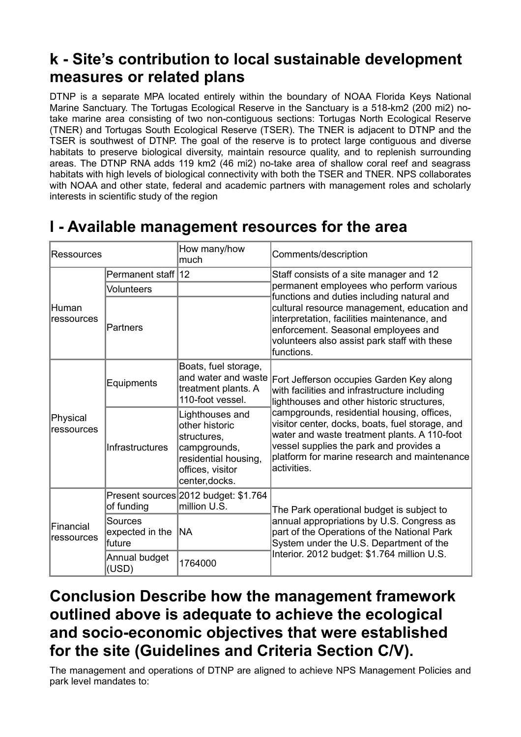## **k - Site's contribution to local sustainable development measures or related plans**

DTNP is a separate MPA located entirely within the boundary of NOAA Florida Keys National Marine Sanctuary. The Tortugas Ecological Reserve in the Sanctuary is a 518-km2 (200 mi2) notake marine area consisting of two non-contiguous sections: Tortugas North Ecological Reserve (TNER) and Tortugas South Ecological Reserve (TSER). The TNER is adjacent to DTNP and the TSER is southwest of DTNP. The goal of the reserve is to protect large contiguous and diverse habitats to preserve biological diversity, maintain resource quality, and to replenish surrounding areas. The DTNP RNA adds 119 km2 (46 mi2) no-take area of shallow coral reef and seagrass habitats with high levels of biological connectivity with both the TSER and TNER. NPS collaborates with NOAA and other state, federal and academic partners with management roles and scholarly interests in scientific study of the region

#### Ressources How many/how Comments/description Human ressources Permanent staff 12 Staff consists of a site manager and 12 permanent employees who perform various functions and duties including natural and cultural resource management, education and interpretation, facilities maintenance, and enforcement. Seasonal employees and volunteers also assist park staff with these functions. Volunteers Partners Physical ressources **Equipments** Boats, fuel storage, and water and waste Fort Jefferson occupies Garden Key along treatment plants. A 110-foot vessel. with facilities and infrastructure including lighthouses and other historic structures, campgrounds, residential housing, offices, visitor center, docks, boats, fuel storage, and water and waste treatment plants. A 110-foot vessel supplies the park and provides a platform for marine research and maintenance activities. Infrastructures Lighthouses and other historic structures, campgrounds, residential housing, offices, visitor center,docks. Financial ressources Present sources 2012 budget: \$1.764 of funding million U.S. The Park operational budget is subject to annual appropriations by U.S. Congress as part of the Operations of the National Park System under the U.S. Department of the Interior. 2012 budget: \$1.764 million U.S. **Sources** expected in the NA future Annual budget |Annual budget |<br>|1764000<br>|

## **l - Available management resources for the area**

## **Conclusion Describe how the management framework outlined above is adequate to achieve the ecological and socio-economic objectives that were established for the site (Guidelines and Criteria Section C/V).**

The management and operations of DTNP are aligned to achieve NPS Management Policies and park level mandates to: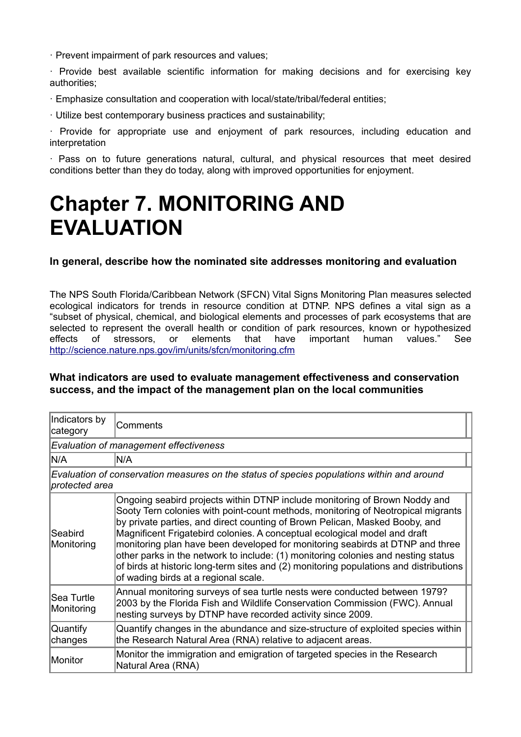· Prevent impairment of park resources and values;

· Provide best available scientific information for making decisions and for exercising key authorities;

· Emphasize consultation and cooperation with local/state/tribal/federal entities;

· Utilize best contemporary business practices and sustainability;

· Provide for appropriate use and enjoyment of park resources, including education and interpretation

· Pass on to future generations natural, cultural, and physical resources that meet desired conditions better than they do today, along with improved opportunities for enjoyment.

## **Chapter 7. MONITORING AND EVALUATION**

#### **In general, describe how the nominated site addresses monitoring and evaluation**

The NPS South Florida/Caribbean Network (SFCN) Vital Signs Monitoring Plan measures selected ecological indicators for trends in resource condition at DTNP. NPS defines a vital sign as a "subset of physical, chemical, and biological elements and processes of park ecosystems that are selected to represent the overall health or condition of park resources, known or hypothesized effects of stressors, or elements that have important human values." See <http://science.nature.nps.gov/im/units/sfcn/monitoring.cfm>

#### **What indicators are used to evaluate management effectiveness and conservation success, and the impact of the management plan on the local communities**

| Indicators by<br>category | Comments                                                                                                                                                                                                                                                                                                                                                                                                                                                                                                                                                                                                                          |  |  |  |  |  |
|---------------------------|-----------------------------------------------------------------------------------------------------------------------------------------------------------------------------------------------------------------------------------------------------------------------------------------------------------------------------------------------------------------------------------------------------------------------------------------------------------------------------------------------------------------------------------------------------------------------------------------------------------------------------------|--|--|--|--|--|
|                           | Evaluation of management effectiveness                                                                                                                                                                                                                                                                                                                                                                                                                                                                                                                                                                                            |  |  |  |  |  |
| IN/A                      | N/A                                                                                                                                                                                                                                                                                                                                                                                                                                                                                                                                                                                                                               |  |  |  |  |  |
| protected area            | Evaluation of conservation measures on the status of species populations within and around                                                                                                                                                                                                                                                                                                                                                                                                                                                                                                                                        |  |  |  |  |  |
| lSeabird<br>Monitoring    | Ongoing seabird projects within DTNP include monitoring of Brown Noddy and<br>Sooty Tern colonies with point-count methods, monitoring of Neotropical migrants<br>by private parties, and direct counting of Brown Pelican, Masked Booby, and<br>Magnificent Frigatebird colonies. A conceptual ecological model and draft<br>monitoring plan have been developed for monitoring seabirds at DTNP and three<br>other parks in the network to include: (1) monitoring colonies and nesting status<br>of birds at historic long-term sites and (2) monitoring populations and distributions<br>of wading birds at a regional scale. |  |  |  |  |  |
| Sea Turtle<br>Monitoring  | Annual monitoring surveys of sea turtle nests were conducted between 1979?<br>2003 by the Florida Fish and Wildlife Conservation Commission (FWC). Annual<br>nesting surveys by DTNP have recorded activity since 2009.                                                                                                                                                                                                                                                                                                                                                                                                           |  |  |  |  |  |
| Quantify<br>changes       | Quantify changes in the abundance and size-structure of exploited species within<br>the Research Natural Area (RNA) relative to adjacent areas.                                                                                                                                                                                                                                                                                                                                                                                                                                                                                   |  |  |  |  |  |
| Monitor                   | Monitor the immigration and emigration of targeted species in the Research<br>Natural Area (RNA)                                                                                                                                                                                                                                                                                                                                                                                                                                                                                                                                  |  |  |  |  |  |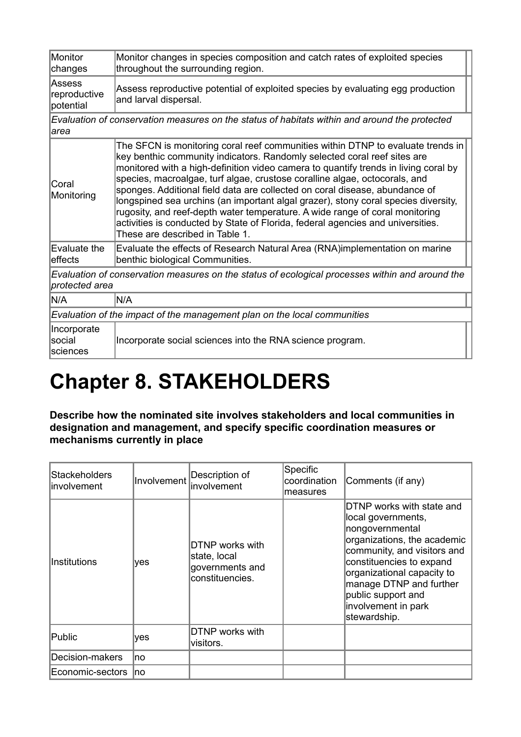| Monitor<br>changes                                                                                                | Monitor changes in species composition and catch rates of exploited species<br>throughout the surrounding region.                                                                                                                                                                                                                                                                                                                                                                                                                                                                                                                                                                                           |  |  |  |
|-------------------------------------------------------------------------------------------------------------------|-------------------------------------------------------------------------------------------------------------------------------------------------------------------------------------------------------------------------------------------------------------------------------------------------------------------------------------------------------------------------------------------------------------------------------------------------------------------------------------------------------------------------------------------------------------------------------------------------------------------------------------------------------------------------------------------------------------|--|--|--|
| Assess<br>reproductive<br>potential                                                                               | Assess reproductive potential of exploited species by evaluating egg production<br>and larval dispersal.                                                                                                                                                                                                                                                                                                                                                                                                                                                                                                                                                                                                    |  |  |  |
| larea                                                                                                             | Evaluation of conservation measures on the status of habitats within and around the protected                                                                                                                                                                                                                                                                                                                                                                                                                                                                                                                                                                                                               |  |  |  |
| Coral<br>Monitoring                                                                                               | The SFCN is monitoring coral reef communities within DTNP to evaluate trends in<br>key benthic community indicators. Randomly selected coral reef sites are<br>monitored with a high-definition video camera to quantify trends in living coral by<br>species, macroalgae, turf algae, crustose coralline algae, octocorals, and<br>sponges. Additional field data are collected on coral disease, abundance of<br>longspined sea urchins (an important algal grazer), stony coral species diversity,<br>rugosity, and reef-depth water temperature. A wide range of coral monitoring<br>activities is conducted by State of Florida, federal agencies and universities.<br>These are described in Table 1. |  |  |  |
| Evaluate the<br>leffects                                                                                          | Evaluate the effects of Research Natural Area (RNA)implementation on marine<br>benthic biological Communities.                                                                                                                                                                                                                                                                                                                                                                                                                                                                                                                                                                                              |  |  |  |
| Evaluation of conservation measures on the status of ecological processes within and around the<br>protected area |                                                                                                                                                                                                                                                                                                                                                                                                                                                                                                                                                                                                                                                                                                             |  |  |  |
| IN/A                                                                                                              | N/A                                                                                                                                                                                                                                                                                                                                                                                                                                                                                                                                                                                                                                                                                                         |  |  |  |
| Evaluation of the impact of the management plan on the local communities                                          |                                                                                                                                                                                                                                                                                                                                                                                                                                                                                                                                                                                                                                                                                                             |  |  |  |
| Incorporate<br>social<br>sciences                                                                                 | Incorporate social sciences into the RNA science program.                                                                                                                                                                                                                                                                                                                                                                                                                                                                                                                                                                                                                                                   |  |  |  |

## **Chapter 8. STAKEHOLDERS**

**Describe how the nominated site involves stakeholders and local communities in designation and management, and specify specific coordination measures or mechanisms currently in place** 

| Stackeholders<br>linvolvement | Involvement | Description of<br>linvolvement                                        | Specific<br>coordination<br>measures | Comments (if any)                                                                                                                                                                                                                                                                  |
|-------------------------------|-------------|-----------------------------------------------------------------------|--------------------------------------|------------------------------------------------------------------------------------------------------------------------------------------------------------------------------------------------------------------------------------------------------------------------------------|
| Institutions                  | yes         | DTNP works with<br>state, local<br>governments and<br>constituencies. |                                      | DTNP works with state and<br>local governments,<br>nongovernmental<br>organizations, the academic<br>community, and visitors and<br>constituencies to expand<br>organizational capacity to<br>manage DTNP and further<br>public support and<br>involvement in park<br>stewardship. |
| Public                        | yes         | DTNP works with<br>visitors.                                          |                                      |                                                                                                                                                                                                                                                                                    |
| Decision-makers               | no          |                                                                       |                                      |                                                                                                                                                                                                                                                                                    |
| Economic-sectors              | no          |                                                                       |                                      |                                                                                                                                                                                                                                                                                    |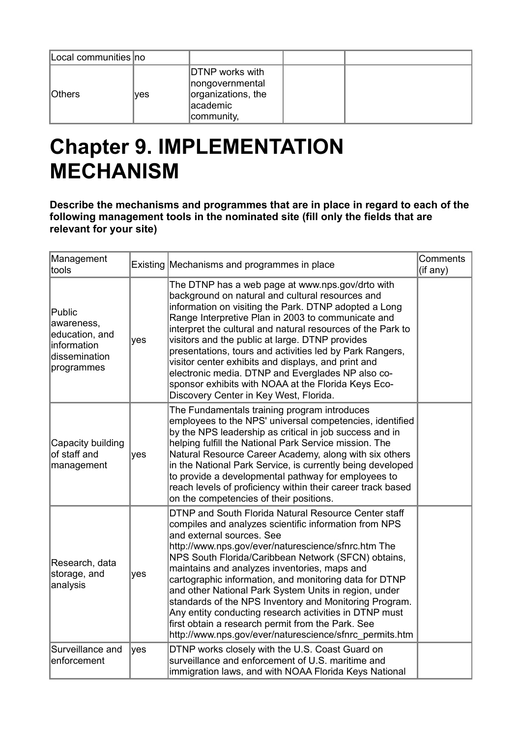| Local communities no |     |                                                                                    |  |
|----------------------|-----|------------------------------------------------------------------------------------|--|
| <b>Others</b>        | ves | DTNP works with<br>nongovernmental<br>organizations, the<br>academic<br>community, |  |

## **Chapter 9. IMPLEMENTATION MECHANISM**

**Describe the mechanisms and programmes that are in place in regard to each of the following management tools in the nominated site (fill only the fields that are relevant for your site)** 

| Management<br>tools                                                                  |     | Existing Mechanisms and programmes in place                                                                                                                                                                                                                                                                                                                                                                                                                                                                                                                                                                                                                     | Comments<br>(if any) |
|--------------------------------------------------------------------------------------|-----|-----------------------------------------------------------------------------------------------------------------------------------------------------------------------------------------------------------------------------------------------------------------------------------------------------------------------------------------------------------------------------------------------------------------------------------------------------------------------------------------------------------------------------------------------------------------------------------------------------------------------------------------------------------------|----------------------|
| Public<br>awareness,<br>education, and<br>information<br>dissemination<br>programmes | yes | The DTNP has a web page at www.nps.gov/drto with<br>background on natural and cultural resources and<br>information on visiting the Park. DTNP adopted a Long<br>Range Interpretive Plan in 2003 to communicate and<br>interpret the cultural and natural resources of the Park to<br>visitors and the public at large. DTNP provides<br>presentations, tours and activities led by Park Rangers,<br>visitor center exhibits and displays, and print and<br>electronic media. DTNP and Everglades NP also co-<br>sponsor exhibits with NOAA at the Florida Keys Eco-<br>Discovery Center in Key West, Florida.                                                  |                      |
| Capacity building<br>of staff and<br>management                                      | yes | The Fundamentals training program introduces<br>employees to the NPS' universal competencies, identified<br>by the NPS leadership as critical in job success and in<br>helping fulfill the National Park Service mission. The<br>Natural Resource Career Academy, along with six others<br>in the National Park Service, is currently being developed<br>to provide a developmental pathway for employees to<br>reach levels of proficiency within their career track based<br>on the competencies of their positions.                                                                                                                                          |                      |
| Research, data<br>storage, and<br>analysis                                           | ves | DTNP and South Florida Natural Resource Center staff<br>compiles and analyzes scientific information from NPS<br>and external sources. See<br>http://www.nps.gov/ever/naturescience/sfnrc.htm The<br>NPS South Florida/Caribbean Network (SFCN) obtains,<br>maintains and analyzes inventories, maps and<br>cartographic information, and monitoring data for DTNP<br>and other National Park System Units in region, under<br>standards of the NPS Inventory and Monitoring Program.<br>Any entity conducting research activities in DTNP must<br>first obtain a research permit from the Park. See<br>http://www.nps.gov/ever/naturescience/sfnrc_permits.htm |                      |
| Surveillance and<br>enforcement                                                      | ves | DTNP works closely with the U.S. Coast Guard on<br>surveillance and enforcement of U.S. maritime and<br>immigration laws, and with NOAA Florida Keys National                                                                                                                                                                                                                                                                                                                                                                                                                                                                                                   |                      |